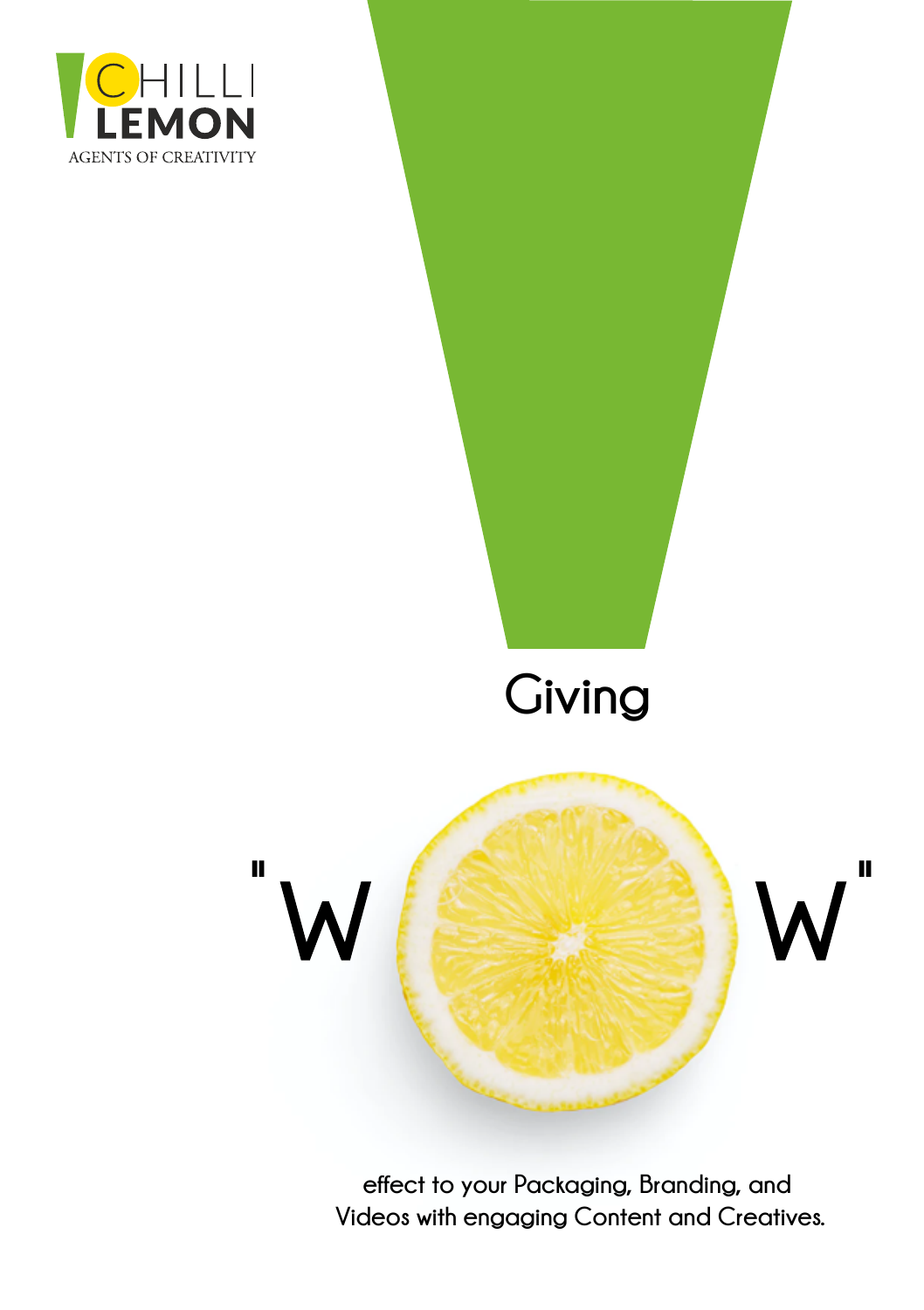

# **Giving**



**effect to your Packaging, Branding, and Videos with engaging Content and Creatives.**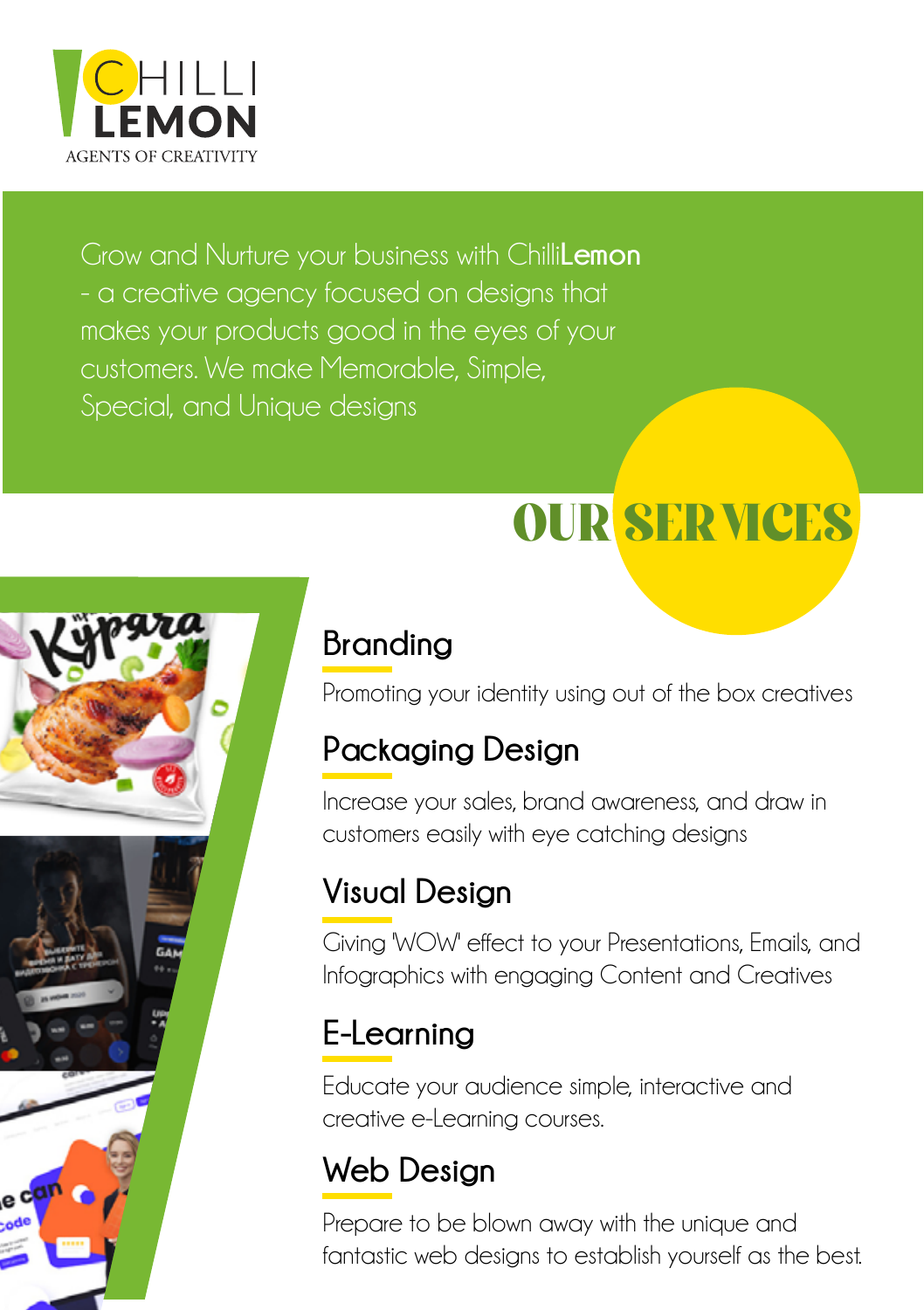

Grow and Nurture your business with Chilli**Lemon**





### **Branding**

Promoting your identity using out of the box creatives

### **Packaging Design**

Increase your sales, brand awareness, and draw in customers easily with eye catching designs

### **Visual Design**

Giving 'WOW' effect to your Presentations, Emails, and Infographics with engaging Content and Creatives

### **E-Learning**

Educate your audience simple, interactive and creative e-Learning courses.

### **Web Design**

Prepare to be blown away with the unique and fantastic web designs to establish yourself as the best.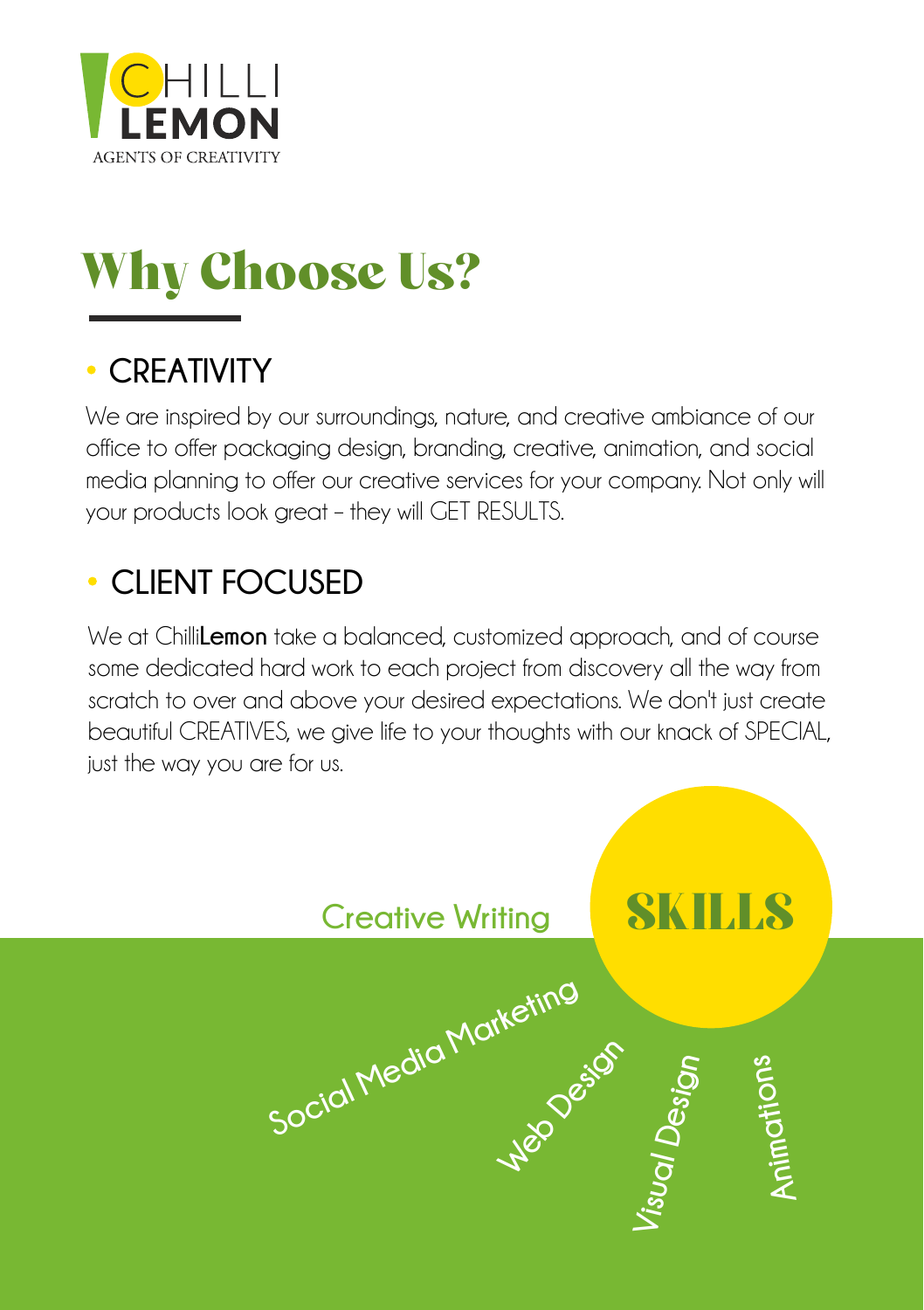

# Why Choose Us?

#### **CREATIVITY**

We are inspired by our surroundings, nature, and creative ambiance of our office to offer packaging design, branding, creative, animation, and social media planning to offer our creative services for your company. Not only will your products look great – they will GET RESULTS.

#### **CLIENT FOCUSED**

We at Chilli**Lemon** take a balanced, customized approach, and of course some dedicated hard work to each project from discovery all the way from scratch to over and above your desired expectations. We don't just create beautiful CREATIVES, we give life to your thoughts with our knack of SPECIAL, just the way you are for us.

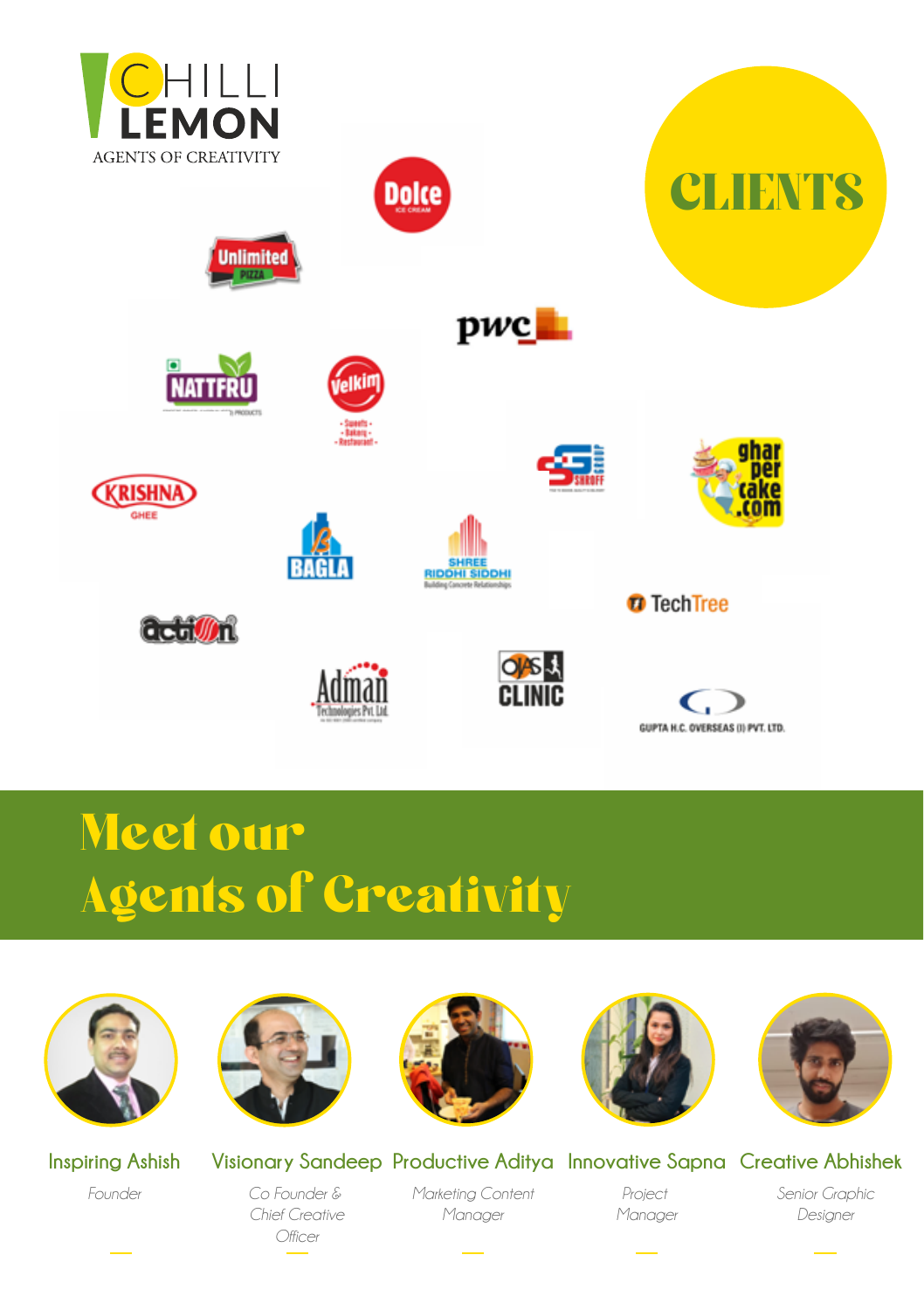

















**NATE** 









GUYEL BE DESIGNATION TOO.

## Meet our Agents of Creativity













**Inspiring Ashish** *Founder*

**Visionary Sandeep Productive Aditya Innovative Sapna Creative Abhishek** *Marketing Content*

*Co Founder & Chief Creative Officer*

*Project Manager*  $\overline{\phantom{a}}$ 

*Senior Graphic Designer*  $\overline{\phantom{a}}$ 

*Manager*  $\overline{\phantom{a}}$